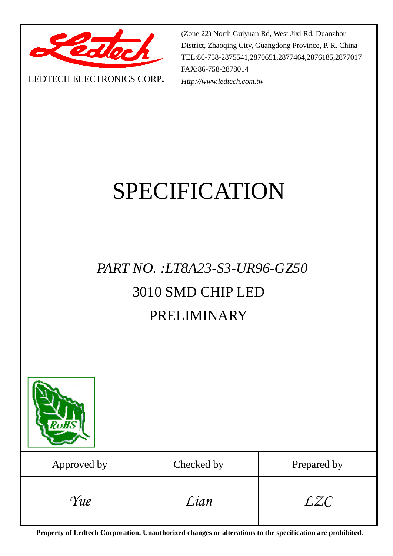

(Zone 22) North Guiyuan Rd, West Jixi Rd, Duanzhou District, Zhaoqing City, Guangdong Province, P. R. China TEL:86-758-2875541,2870651,2877464,2876185,2877017 FAX:86-758-2878014 *Http://www.ledtech.com.tw*

#### LEDTECH ELECTRONICS CORP**.**

# SPECIFICATION

# *PART NO. :LT8A23-S3-UR96-GZ50* 3010 SMD CHIP LED PRELIMINARY



| Approved by | Checked by | Prepared by |
|-------------|------------|-------------|
| Yue         | Lian       | LZC         |

**Property of Ledtech Corporation. Unauthorized changes or alterations to the specification are prohibited***.*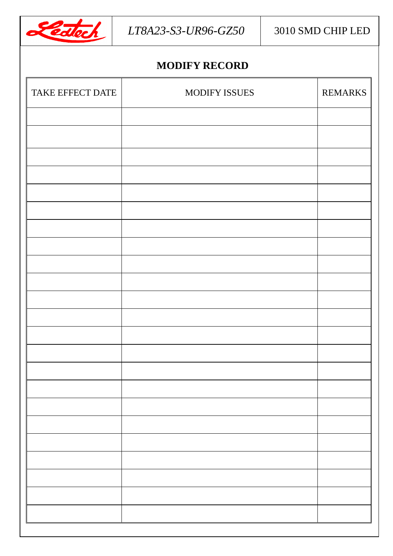

# **MODIFY RECORD**

| TAKE EFFECT DATE | MODIFY ISSUES | <b>REMARKS</b> |
|------------------|---------------|----------------|
|                  |               |                |
|                  |               |                |
|                  |               |                |
|                  |               |                |
|                  |               |                |
|                  |               |                |
|                  |               |                |
|                  |               |                |
|                  |               |                |
|                  |               |                |
|                  |               |                |
|                  |               |                |
|                  |               |                |
|                  |               |                |
|                  |               |                |
|                  |               |                |
|                  |               |                |
|                  |               |                |
|                  |               |                |
|                  |               |                |
|                  |               |                |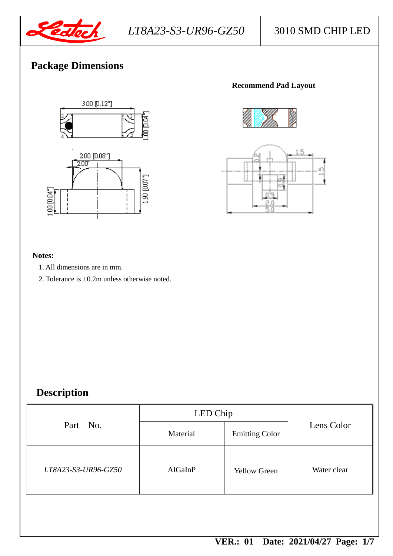

# **Package Dimensions**



### **Recommend Pad Layout**





#### **Notes:**

- 1. All dimensions are in mm.
- 2. Tolerance is ±0.2m unless otherwise noted.

# **Description**

| Part No.            | LED Chip |                       |             |  |
|---------------------|----------|-----------------------|-------------|--|
|                     | Material | <b>Emitting Color</b> | Lens Color  |  |
| LT8A23-S3-UR96-GZ50 | AlGaInP  | <b>Yellow Green</b>   | Water clear |  |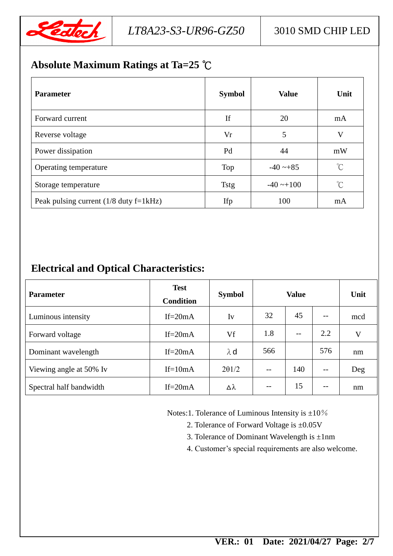

# **Absolute Maximum Ratings at Ta=25** ℃

| <b>Parameter</b>                         | <b>Symbol</b> | <b>Value</b>          | Unit                 |
|------------------------------------------|---------------|-----------------------|----------------------|
| Forward current                          | If            | 20                    | mA                   |
| Reverse voltage                          | Vr            | 5                     | V                    |
| Power dissipation                        | Pd            | 44                    | mW                   |
| Operating temperature                    | Top           | $-40 - 85$            | $\int_{0}^{\infty}$  |
| Storage temperature                      | <b>Tstg</b>   | $-40 \rightarrow 100$ | $\mathrm{C}^{\circ}$ |
| Peak pulsing current $(1/8$ duty f=1kHz) | Ifp           | 100                   | mA                   |

# **Electrical and Optical Characteristics:**

| <b>Parameter</b>        | <b>Test</b><br><b>Condition</b> | <b>Symbol</b> | <b>Value</b> |       | Unit  |     |
|-------------------------|---------------------------------|---------------|--------------|-------|-------|-----|
| Luminous intensity      | If= $20mA$                      | Iv            | 32           | 45    | $- -$ | mcd |
| Forward voltage         | If= $20mA$                      | Vf            | 1.8          | $- -$ | 2.2   | V   |
| Dominant wavelength     | If= $20mA$                      | $\lambda$ d   | 566          |       | 576   | nm  |
| Viewing angle at 50% Iv | $If=10mA$                       | 201/2         |              | 140   | --    | Deg |
| Spectral half bandwidth | If= $20mA$                      | Δλ            |              | 15    | $- -$ | nm  |

Notes:1. Tolerance of Luminous Intensity is  $\pm 10\%$ 

2. Tolerance of Forward Voltage is ±0.05V

3. Tolerance of Dominant Wavelength is  $\pm 1$ nm

4. Customer's special requirements are also welcome.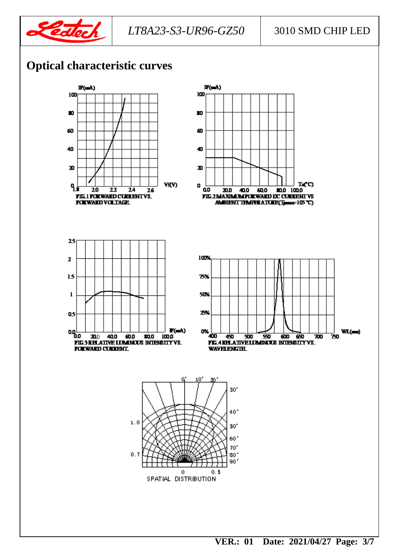

# **Optical characteristic curves**

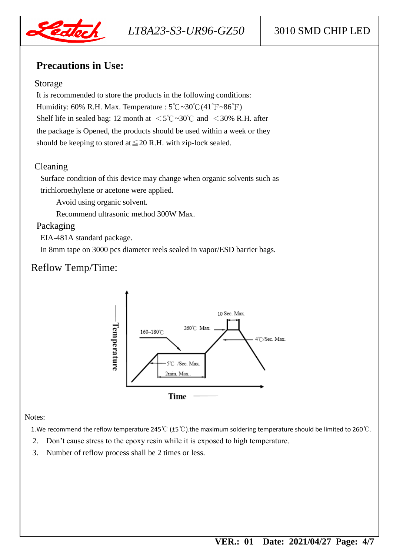

# **Precautions in Use:**

#### Storage

It is recommended to store the products in the following conditions: Humidity: 60% R.H. Max. Temperature :  $5^{\circ}$ C $\sim$ 30°C $(41^{\circ}$ F $\sim$ 86°F) Shelf life in sealed bag: 12 month at  $\langle 5^{\circ}\text{C} \sim 30^{\circ}\text{C}$  and  $\langle 30^{\circ}\text{R} \cdot \text{H}$ . after the package is Opened, the products should be used within a week or they should be keeping to stored at  $\leq$  20 R.H. with zip-lock sealed.

## Cleaning

Surface condition of this device may change when organic solvents such as trichloroethylene or acetone were applied.

Avoid using organic solvent.

Recommend ultrasonic method 300W Max.

## Packaging

EIA-481A standard package.

In 8mm tape on 3000 pcs diameter reels sealed in vapor/ESD barrier bags.

# Reflow Temp/Time:



#### Notes:

1.We recommend the reflow temperature 245℃ (±5℃).the maximum soldering temperature should be limited to 260℃.

- 2. Don't cause stress to the epoxy resin while it is exposed to high temperature.
- 3. Number of reflow process shall be 2 times or less.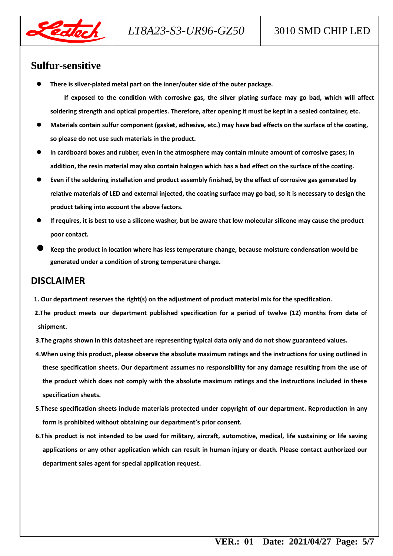

*LT8A23-S3-UR96-GZ50* 3010 SMD CHIP LED

#### **Sulfur-sensitive**

**There is silver-plated metal part on the inner/outer side of the outer package.**

**If exposed to the condition with corrosive gas, the silver plating surface may go bad, which will affect soldering strength and optical properties. Therefore, after opening it must be kept in a sealed container, etc.**

- **Materials contain sulfur component (gasket, adhesive, etc.) may have bad effects on the surface of the coating, so please do not use such materials in the product.**
- **In cardboard boxes and rubber, even in the atmosphere may contain minute amount of corrosive gases; In addition, the resin material may also contain halogen which has a bad effect on the surface of the coating.**
- **Even if the soldering installation and product assembly finished, by the effect of corrosive gas generated by relative materials of LED and external injected, the coating surface may go bad, so it is necessary to design the product taking into account the above factors.**
- **If requires, it is best to use a silicone washer, but be aware that low molecular silicone may cause the product poor contact.**
- **Keep the product in location where has less temperature change, because moisture condensation would be generated under a condition of strong temperature change.**

# **DISCLAIMER**

- **1. Our department reserves the right(s) on the adjustment of product material mix for the specification.**
- **2.The product meets our department published specification for a period of twelve (12) months from date of shipment.**
- **3.The graphs shown in this datasheet are representing typical data only and do not show guaranteed values.**
- **4.When using this product, please observe the absolute maximum ratings and the instructions for using outlined in these specification sheets. Our department assumes no responsibility for any damage resulting from the use of the product which does not comply with the absolute maximum ratings and the instructions included in these specification sheets.**
- **5.These specification sheets include materials protected under copyright of our department. Reproduction in any form is prohibited without obtaining our department's prior consent.**
- **6.This product is not intended to be used for military, aircraft, automotive, medical, life sustaining or life saving applications or any other application which can result in human injury or death. Please contact authorized our department sales agent for special application request.**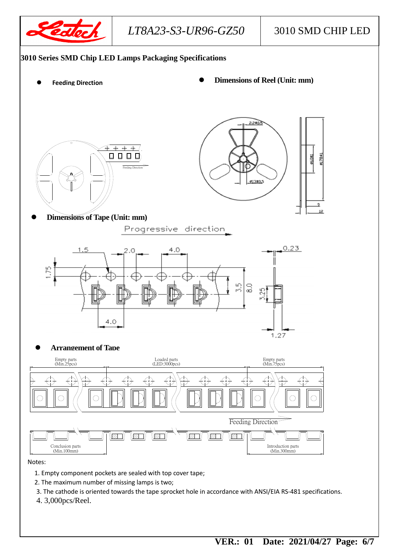

*LT8A23-S3-UR96-GZ50* 3010 SMD CHIP LED

#### **3010 Series SMD Chip LED Lamps Packaging Specifications**

- 
- **Dimensions of Reel (Unit: mm) Feeding Direction**





**Dimensions of Tape (Unit: mm)**

Progressive direction



#### **Arrangement of Tape**



#### Notes:

- 1. Empty component pockets are sealed with top cover tape;
- 2. The maximum number of missing lamps is two;
- 3. The cathode is oriented towards the tape sprocket hole in accordance with ANSI/EIA RS-481 specifications.
- 4. 3,000pcs/Reel.